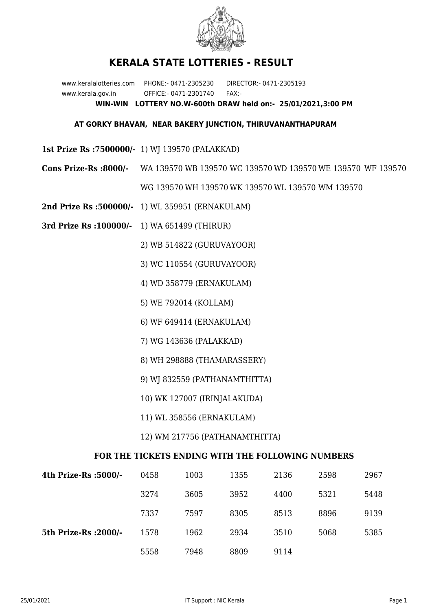

## **KERALA STATE LOTTERIES - RESULT**

www.keralalotteries.com PHONE:- 0471-2305230 DIRECTOR:- 0471-2305193 www.kerala.gov.in OFFICE:- 0471-2301740 FAX:- **WIN-WIN LOTTERY NO.W-600th DRAW held on:- 25/01/2021,3:00 PM**

## **AT GORKY BHAVAN, NEAR BAKERY JUNCTION, THIRUVANANTHAPURAM**

- **1st Prize Rs :7500000/-** 1) WJ 139570 (PALAKKAD)
- **Cons Prize-Rs :8000/-** WA 139570 WB 139570 WC 139570 WD 139570 WE 139570 WF 139570 WG 139570 WH 139570 WK 139570 WL 139570 WM 139570
- **2nd Prize Rs :500000/-** 1) WL 359951 (ERNAKULAM)
- **3rd Prize Rs :100000/-** 1) WA 651499 (THIRUR)

2) WB 514822 (GURUVAYOOR)

- 3) WC 110554 (GURUVAYOOR)
- 4) WD 358779 (ERNAKULAM)
- 5) WE 792014 (KOLLAM)
- 6) WF 649414 (ERNAKULAM)
- 7) WG 143636 (PALAKKAD)
- 8) WH 298888 (THAMARASSERY)
- 9) WJ 832559 (PATHANAMTHITTA)
- 10) WK 127007 (IRINJALAKUDA)
- 11) WL 358556 (ERNAKULAM)

## 12) WM 217756 (PATHANAMTHITTA)

## **FOR THE TICKETS ENDING WITH THE FOLLOWING NUMBERS**

| 4th Prize-Rs :5000/-  | 0458 | 1003 | 1355 | 2136 | 2598 | 2967 |
|-----------------------|------|------|------|------|------|------|
|                       | 3274 | 3605 | 3952 | 4400 | 5321 | 5448 |
|                       | 7337 | 7597 | 8305 | 8513 | 8896 | 9139 |
| 5th Prize-Rs : 2000/- | 1578 | 1962 | 2934 | 3510 | 5068 | 5385 |
|                       | 5558 | 7948 | 8809 | 9114 |      |      |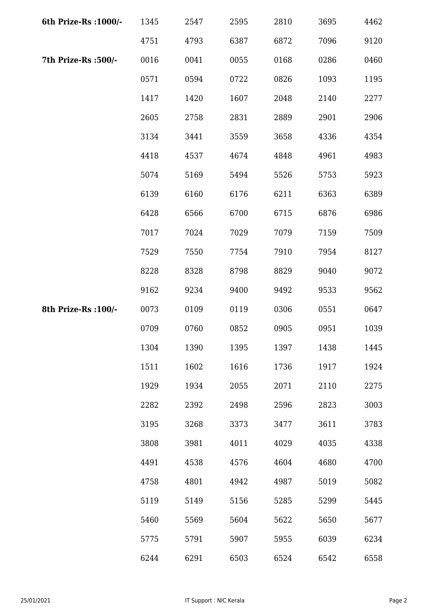| 6th Prize-Rs : 1000/- | 1345 | 2547 | 2595 | 2810 | 3695 | 4462 |
|-----------------------|------|------|------|------|------|------|
|                       | 4751 | 4793 | 6387 | 6872 | 7096 | 9120 |
| 7th Prize-Rs :500/-   | 0016 | 0041 | 0055 | 0168 | 0286 | 0460 |
|                       | 0571 | 0594 | 0722 | 0826 | 1093 | 1195 |
|                       | 1417 | 1420 | 1607 | 2048 | 2140 | 2277 |
|                       | 2605 | 2758 | 2831 | 2889 | 2901 | 2906 |
|                       | 3134 | 3441 | 3559 | 3658 | 4336 | 4354 |
|                       | 4418 | 4537 | 4674 | 4848 | 4961 | 4983 |
|                       | 5074 | 5169 | 5494 | 5526 | 5753 | 5923 |
|                       | 6139 | 6160 | 6176 | 6211 | 6363 | 6389 |
|                       | 6428 | 6566 | 6700 | 6715 | 6876 | 6986 |
|                       | 7017 | 7024 | 7029 | 7079 | 7159 | 7509 |
|                       | 7529 | 7550 | 7754 | 7910 | 7954 | 8127 |
|                       | 8228 | 8328 | 8798 | 8829 | 9040 | 9072 |
|                       | 9162 | 9234 | 9400 | 9492 | 9533 | 9562 |
| 8th Prize-Rs : 100/-  | 0073 | 0109 | 0119 | 0306 | 0551 | 0647 |
|                       | 0709 | 0760 | 0852 | 0905 | 0951 | 1039 |
|                       | 1304 | 1390 | 1395 | 1397 | 1438 | 1445 |
|                       | 1511 | 1602 | 1616 | 1736 | 1917 | 1924 |
|                       | 1929 | 1934 | 2055 | 2071 | 2110 | 2275 |
|                       | 2282 | 2392 | 2498 | 2596 | 2823 | 3003 |
|                       | 3195 | 3268 | 3373 | 3477 | 3611 | 3783 |
|                       | 3808 | 3981 | 4011 | 4029 | 4035 | 4338 |
|                       | 4491 | 4538 | 4576 | 4604 | 4680 | 4700 |
|                       | 4758 | 4801 | 4942 | 4987 | 5019 | 5082 |
|                       | 5119 | 5149 | 5156 | 5285 | 5299 | 5445 |
|                       | 5460 | 5569 | 5604 | 5622 | 5650 | 5677 |
|                       | 5775 | 5791 | 5907 | 5955 | 6039 | 6234 |
|                       | 6244 | 6291 | 6503 | 6524 | 6542 | 6558 |